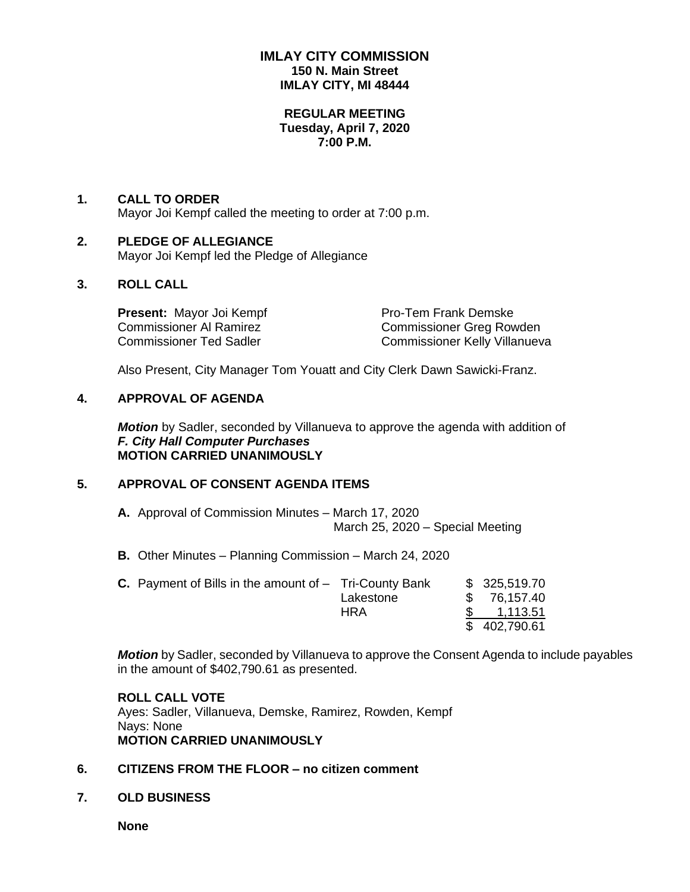# **IMLAY CITY COMMISSION 150 N. Main Street IMLAY CITY, MI 48444**

#### **REGULAR MEETING Tuesday, April 7, 2020 7:00 P.M.**

### **1. CALL TO ORDER** Mayor Joi Kempf called the meeting to order at 7:00 p.m.

#### **2. PLEDGE OF ALLEGIANCE** Mayor Joi Kempf led the Pledge of Allegiance

# **3. ROLL CALL**

**Present:** Mayor Joi Kempf Pro-Tem Frank Demske

Commissioner Al Ramirez Commissioner Greg Rowden Commissioner Ted Sadler Commissioner Kelly Villanueva

Also Present, City Manager Tom Youatt and City Clerk Dawn Sawicki-Franz.

# **4. APPROVAL OF AGENDA**

*Motion* by Sadler, seconded by Villanueva to approve the agenda with addition of *F. City Hall Computer Purchases* **MOTION CARRIED UNANIMOUSLY**

# **5. APPROVAL OF CONSENT AGENDA ITEMS**

- **A.** Approval of Commission Minutes March 17, 2020 March 25, 2020 – Special Meeting
- **B.** Other Minutes Planning Commission March 24, 2020

| <b>C.</b> Payment of Bills in the amount of $-$ Tri-County Bank |            | \$325,519.70 |  |
|-----------------------------------------------------------------|------------|--------------|--|
|                                                                 | Lakestone  | \$76,157.40  |  |
|                                                                 | <b>HRA</b> | 1,113.51     |  |
|                                                                 |            | \$402,790.61 |  |

*Motion* by Sadler, seconded by Villanueva to approve the Consent Agenda to include payables in the amount of \$402,790.61 as presented.

#### **ROLL CALL VOTE** Ayes: Sadler, Villanueva, Demske, Ramirez, Rowden, Kempf Nays: None **MOTION CARRIED UNANIMOUSLY**

# **6. CITIZENS FROM THE FLOOR – no citizen comment**

**7. OLD BUSINESS**

**None**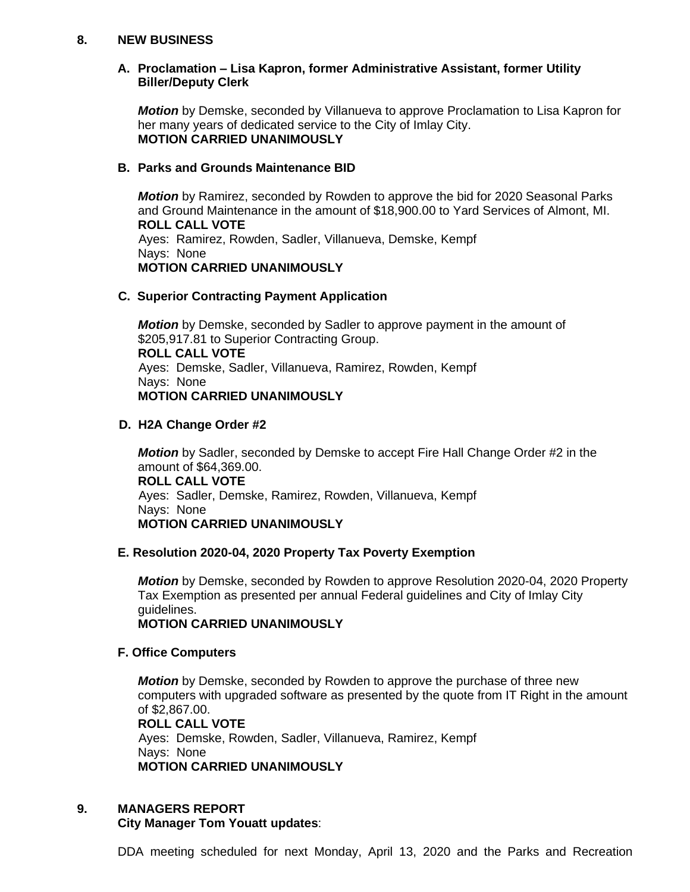### **8. NEW BUSINESS**

### **A. Proclamation – Lisa Kapron, former Administrative Assistant, former Utility Biller/Deputy Clerk**

*Motion* by Demske, seconded by Villanueva to approve Proclamation to Lisa Kapron for her many years of dedicated service to the City of Imlay City. **MOTION CARRIED UNANIMOUSLY**

#### **B. Parks and Grounds Maintenance BID**

*Motion* by Ramirez, seconded by Rowden to approve the bid for 2020 Seasonal Parks and Ground Maintenance in the amount of \$18,900.00 to Yard Services of Almont, MI. **ROLL CALL VOTE** Ayes: Ramirez, Rowden, Sadler, Villanueva, Demske, Kempf Nays: None **MOTION CARRIED UNANIMOUSLY**

### **C. Superior Contracting Payment Application**

*Motion* by Demske, seconded by Sadler to approve payment in the amount of \$205,917.81 to Superior Contracting Group. **ROLL CALL VOTE** Ayes: Demske, Sadler, Villanueva, Ramirez, Rowden, Kempf Nays: None **MOTION CARRIED UNANIMOUSLY**

### **D. H2A Change Order #2**

*Motion* by Sadler, seconded by Demske to accept Fire Hall Change Order #2 in the amount of \$64,369.00. **ROLL CALL VOTE** Ayes: Sadler, Demske, Ramirez, Rowden, Villanueva, Kempf Nays: None **MOTION CARRIED UNANIMOUSLY**

# **E. Resolution 2020-04, 2020 Property Tax Poverty Exemption**

*Motion* by Demske, seconded by Rowden to approve Resolution 2020-04, 2020 Property Tax Exemption as presented per annual Federal guidelines and City of Imlay City guidelines.

**MOTION CARRIED UNANIMOUSLY**

#### **F. Office Computers**

*Motion* by Demske, seconded by Rowden to approve the purchase of three new computers with upgraded software as presented by the quote from IT Right in the amount of \$2,867.00. **ROLL CALL VOTE** Ayes: Demske, Rowden, Sadler, Villanueva, Ramirez, Kempf Nays: None **MOTION CARRIED UNANIMOUSLY**

# **9. MANAGERS REPORT**

# **City Manager Tom Youatt updates**:

DDA meeting scheduled for next Monday, April 13, 2020 and the Parks and Recreation